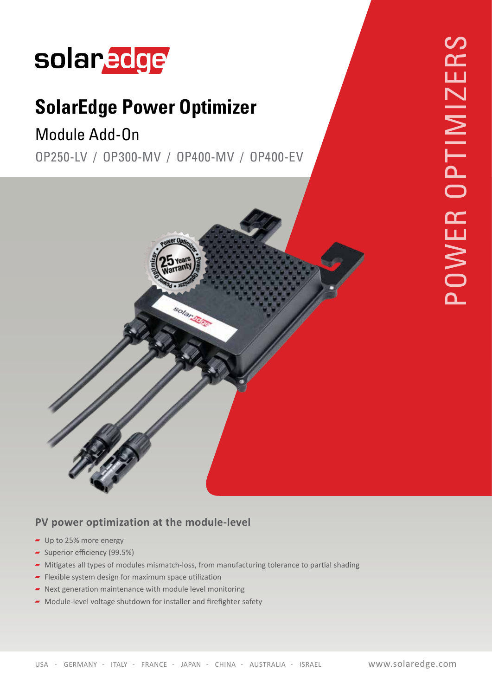# solaredge

## **SolarEdge Power Optimizer**

### Module Add-On

OP 250-LV / OP 300-MV / OP 400-MV / OP 400-EV



#### PV power optimization at the module-level

- $-$  Up to 25% more energy
- $\sim$  Superior efficiency (99.5%)
- Mitigates all types of modules mismatch-loss, from manufacturing tolerance to partial shading
- Flexible system design for maximum space utilization
- $\blacksquare$  Next generation maintenance with module level monitoring
- $\blacktriangleright$  Module-level voltage shutdown for installer and firefighter safety